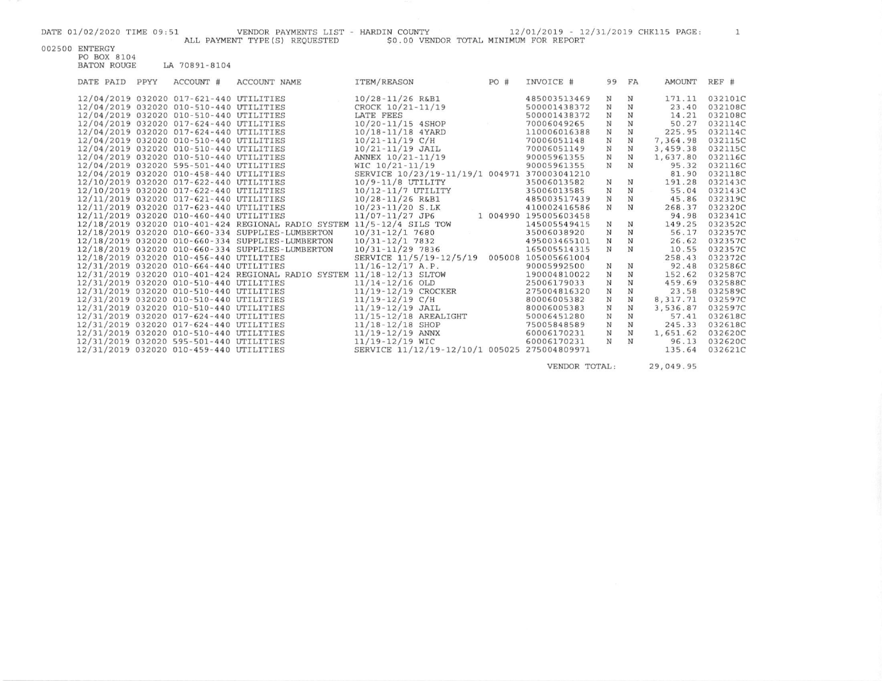002500 ENTERGY

| ALL PAYMENT TYPE(S) REQUESTED | \$0.00 VENDOR TOTAL MINIMUM FOR REPORT |  |
|-------------------------------|----------------------------------------|--|
|                               |                                        |  |

| DATE PAID | PPYY | ACCOUNT #                               | ACCOUNT NAME                                                           | <b>ITEM/REASON</b>                           | PO# | INVOICE #             | 99         | FA          | AMOUNT    | REF #   |
|-----------|------|-----------------------------------------|------------------------------------------------------------------------|----------------------------------------------|-----|-----------------------|------------|-------------|-----------|---------|
|           |      | 12/04/2019 032020 017-621-440 UTILITIES |                                                                        | $10/28 - 11/26$ R&B1                         |     | 485003513469          | N          | N           | 171.11    | 032101C |
|           |      | 12/04/2019 032020 010-510-440 UTILITIES |                                                                        | CROCK 10/21-11/19                            |     | 500001438372          | N          | N           | 23.40     | 032108C |
|           |      | 12/04/2019 032020 010-510-440 UTILITIES |                                                                        | LATE FEES                                    |     | 500001438372          | N          | N           | 14.21     | 032108C |
|           |      | 12/04/2019 032020 017-624-440 UTILITIES |                                                                        | $10/20 - 11/15$ 4SHOP                        |     | 70006049265           | N          | N           | 50.27     | 032114C |
|           |      | 12/04/2019 032020 017-624-440 UTILITIES |                                                                        | 10/18-11/18 4YARD                            |     | 110006016388          | $_{\rm N}$ | $_{\rm N}$  | 225.95    | 032114C |
|           |      | 12/04/2019 032020 010-510-440 UTILITIES |                                                                        | $10/21 - 11/19$ C/H                          |     | 70006051148           | $_{\rm N}$ | $_{\rm N}$  | 7,364.98  | 032115C |
|           |      | 12/04/2019 032020 010-510-440 UTILITIES |                                                                        | $10/21 - 11/19$ JAIL                         |     | 70006051149           | N          | N           | 3,459.38  | 032115C |
|           |      | 12/04/2019 032020 010-510-440 UTILITIES |                                                                        | ANNEX 10/21-11/19                            |     | 90005961355           | N          | N           | 1,637.80  | 032116C |
|           |      | 12/04/2019 032020 595-501-440 UTILITIES |                                                                        | WIC $10/21 - 11/19$                          |     | 90005961355           | N          | N           | 95.32     | 032116C |
|           |      | 12/04/2019 032020 010-458-440 UTILITIES |                                                                        | SERVICE 10/23/19-11/19/1 004971 370003041210 |     |                       |            |             | 81.90     | 032118C |
|           |      | 12/10/2019 032020 017-622-440 UTILITIES |                                                                        | $10/9 - 11/8$ UTILITY                        |     | 35006013582           | $_{\rm N}$ | N           | 191.28    | 032143C |
|           |      | 12/10/2019 032020 017-622-440 UTILITIES |                                                                        | 10/12-11/7 UTILITY                           |     | 35006013585           | N          | N           | 55.04     | 032143C |
|           |      | 12/11/2019 032020 017-621-440 UTILITIES |                                                                        | $10/28 - 11/26$ R&B1                         |     | 485003517439          | N          | N           | 45.86     | 032319C |
|           |      | 12/11/2019 032020 017-623-440 UTILITIES |                                                                        | $10/23 - 11/20$ S.LK                         |     | 410002416586          | N          | N           | 268.37    | 032320C |
|           |      | 12/11/2019 032020 010-460-440 UTILITIES |                                                                        | $11/07 - 11/27$ JP6                          |     | 1 004990 195005603458 |            |             | 94.98     | 032341C |
|           |      |                                         | 12/18/2019 032020 010-401-424 REGIONAL RADIO SYSTEM 11/5-12/4 SILS TOW |                                              |     | 145005549415          | N          | N           | 149.25    | 032352C |
|           |      |                                         | 12/18/2019 032020 010-660-334 SUPPLIES-LUMBERTON                       | $10/31 - 12/17680$                           |     | 35006038920           | N          | N           | 56.17     | 032357C |
|           |      |                                         | 12/18/2019 032020 010-660-334 SUPPLIES-LUMBERTON                       | $10/31 - 12/17832$                           |     | 495003465101          | N          | N           | 26.62     | 032357C |
|           |      |                                         | 12/18/2019 032020 010-660-334 SUPPLIES-LUMBERTON                       | $10/31 - 11/29$ 7836                         |     | 165005514315          | N          | N           | 10.55     | 032357C |
|           |      | 12/18/2019 032020 010-456-440 UTILITIES |                                                                        | SERVICE 11/5/19-12/5/19                      |     | 005008 105005661004   |            |             | 258.43    | 032372C |
|           |      | 12/31/2019 032020 010-664-440 UTILITIES |                                                                        | $11/16 - 12/17$ A.P.                         |     | 90005992500           | N          | N           | 92.48     | 032586C |
|           |      |                                         | 12/31/2019 032020 010-401-424 REGIONAL RADIO SYSTEM 11/18-12/13 SLTOW  |                                              |     | 190004810022          | $_{\rm N}$ | N           | 152.62    | 032587C |
|           |      | 12/31/2019 032020 010-510-440 UTILITIES |                                                                        | $11/14 - 12/16$ OLD                          |     | 25006179033           | N          | N           | 459.69    | 032588C |
|           |      | 12/31/2019 032020 010-510-440 UTILITIES |                                                                        | 11/19-12/19 CROCKER                          |     | 275004816320          | N          | N           | 23.58     | 032589C |
|           |      | 12/31/2019 032020 010-510-440 UTILITIES |                                                                        | $11/19 - 12/19$ C/H                          |     | 80006005382           | N          | $_{\rm N}$  | 8, 317.71 | 032597C |
|           |      | 12/31/2019 032020 010-510-440 UTILITIES |                                                                        | $11/19 - 12/19$ JAIL                         |     | 80006005383           | N          | $\mathbb N$ | 3,536.87  | 032597C |
|           |      | 12/31/2019 032020 017-624-440 UTILITIES |                                                                        | $11/15 - 12/18$ AREALIGHT                    |     | 50006451280           | N          | $_{\rm N}$  | 57.41     | 032618C |
|           |      | 12/31/2019 032020 017-624-440 UTILITIES |                                                                        | $11/18 - 12/18$ SHOP                         |     | 75005848589           | N          | $_{\rm N}$  | 245.33    | 032618C |
|           |      | 12/31/2019 032020 010-510-440 UTILITIES |                                                                        | $11/19 - 12/19$ ANNX                         |     | 60006170231           | N          | $_{\rm N}$  | 1,651.62  | 032620C |
|           |      | 12/31/2019 032020 595-501-440 UTILITIES |                                                                        | $11/19 - 12/19$ WIC                          |     | 60006170231           | $_{\rm N}$ | N           | 96.13     | 032620C |
|           |      | 12/31/2019 032020 010-459-440 UTILITIES |                                                                        | SERVICE 11/12/19-12/10/1 005025 275004809971 |     |                       |            |             | 135.64    | 032621C |

VENDOR TOTAL:

29,049.95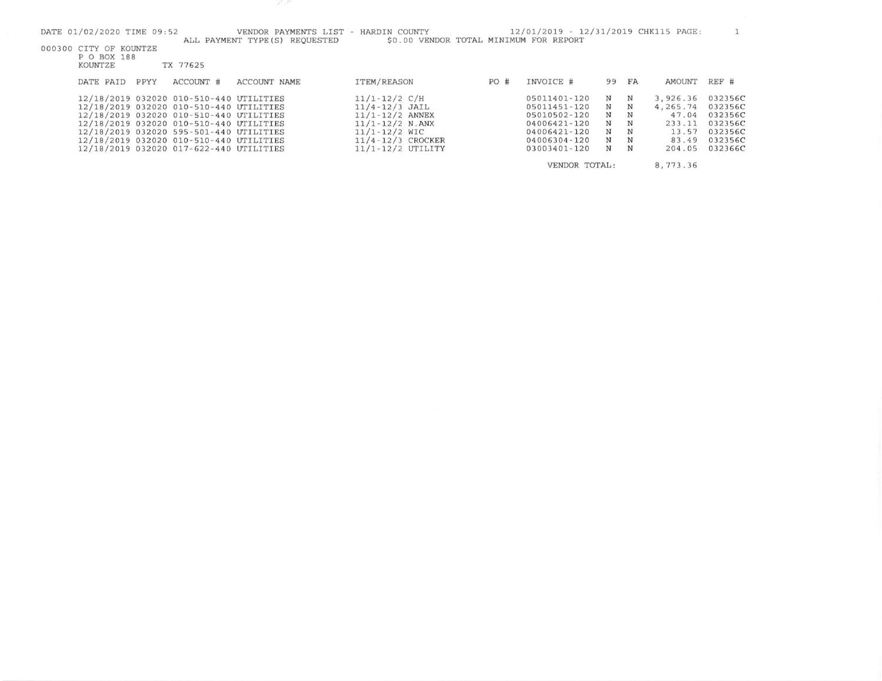$11/1 - 12/2$  N.ANX

11/4-12/3 CROCKER

11/1-12/2 UTILITY

 $11/1 - 12/2$  WIC

04006421-120

04006421-120

04006304-120

03003401-120

 $N$  $\mathbf N$ 

 $\mathbf N$  ${\bf N}$ 

VENDOR TOTAL:

 ${\bf N}$   ${\bf N}$ 

 $N$   $N$ 

47.04 032356C 233.11 032356C

8,773.36

13.57 032356C<br>83.49 032356C

204.05 032366C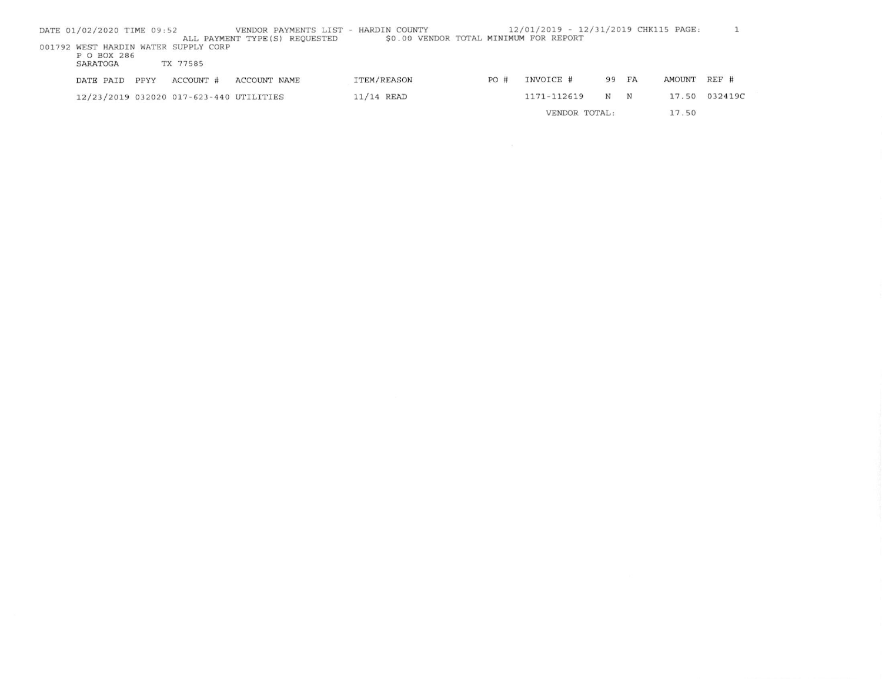| DATE 01/02/2020 TIME 09:52 |      |                                         | VENDOR PAYMENTS LIST - HARDIN COUNTY<br>ALL PAYMENT TYPE (S) REQUESTED | \$0.00 VENDOR TOTAL MINIMUM FOR REPORT |      | 12/01/2019 - 12/31/2019 CHK115 PAGE: |       |   |        |               |  |
|----------------------------|------|-----------------------------------------|------------------------------------------------------------------------|----------------------------------------|------|--------------------------------------|-------|---|--------|---------------|--|
|                            |      | 001792 WEST HARDIN WATER SUPPLY CORP    |                                                                        |                                        |      |                                      |       |   |        |               |  |
| P O BOX 286<br>SARATOGA    |      | TX 77585                                |                                                                        |                                        |      |                                      |       |   |        |               |  |
|                            |      |                                         |                                                                        |                                        |      |                                      |       |   |        |               |  |
| DATE PAID                  | PPYY | ACCOUNT #                               | ACCOUNT NAME                                                           | ITEM/REASON                            | PO # | INVOICE #                            | 99 FA |   | AMOUNT | REF #         |  |
|                            |      | 12/23/2019 032020 017-623-440 UTILITIES |                                                                        | $11/14$ READ                           |      | 1171-112619                          | N     | N |        | 17.50 032419C |  |
|                            |      |                                         |                                                                        |                                        |      | VENDOR TOTAL:                        |       |   | 17.50  |               |  |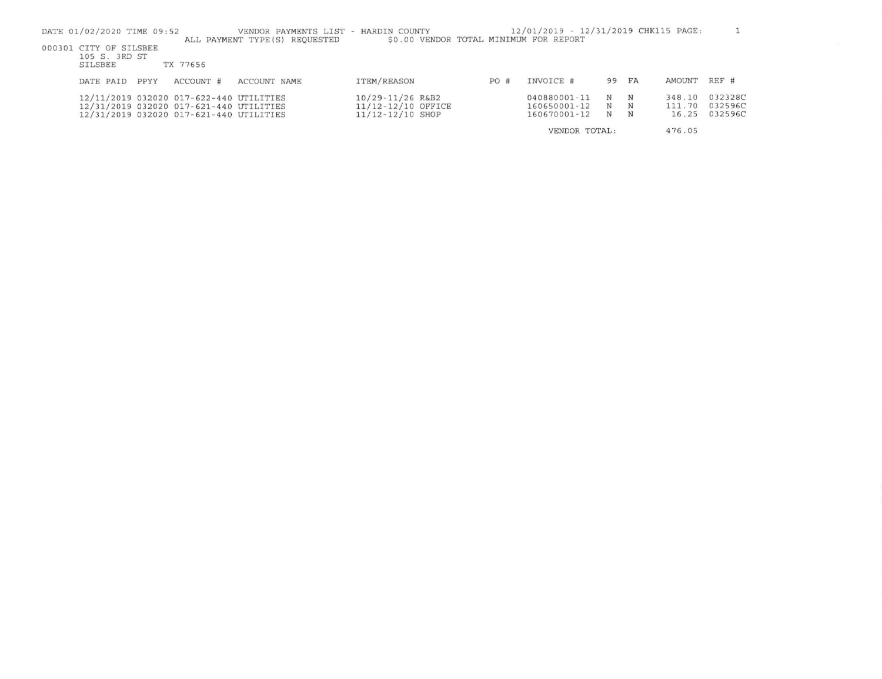| DATE 01/02/2020 TIME 09:52                                                                                                    |           | VENDOR PAYMENTS LIST<br>ALL PAYMENT TYPE(S) REQUESTED | HARDIN COUNTY<br>\$0.00 VENDOR TOTAL MINIMUM FOR REPORT    |     | 12/01/2019 - 12/31/2019 CHK115 PAGE:         |             |             |                           |                               |
|-------------------------------------------------------------------------------------------------------------------------------|-----------|-------------------------------------------------------|------------------------------------------------------------|-----|----------------------------------------------|-------------|-------------|---------------------------|-------------------------------|
| 000301 CITY OF SILSBEE<br>105 S. 3RD ST<br>SILSBEE                                                                            | TX 77656  |                                                       |                                                            |     |                                              |             |             |                           |                               |
| PPYY<br>DATE PAID                                                                                                             | ACCOUNT # | ACCOUNT NAME                                          | ITEM/REASON                                                | PO# | INVOICE #                                    | 99 FA       |             | AMOUNT                    | REF #                         |
| 12/11/2019 032020 017-622-440 UTILITIES<br>12/31/2019 032020 017-621-440 UTILITIES<br>12/31/2019 032020 017-621-440 UTILITIES |           |                                                       | 10/29-11/26 R&B2<br>11/12-12/10 OFFICE<br>11/12-12/10 SHOP |     | 040880001-11<br>160650001-12<br>160670001-12 | N<br>N<br>N | N<br>N<br>N | 348.10<br>111.70<br>16.25 | 032328C<br>032596C<br>032596C |
|                                                                                                                               |           |                                                       |                                                            |     | VENDOR TOTAL:                                |             |             | 476.05                    |                               |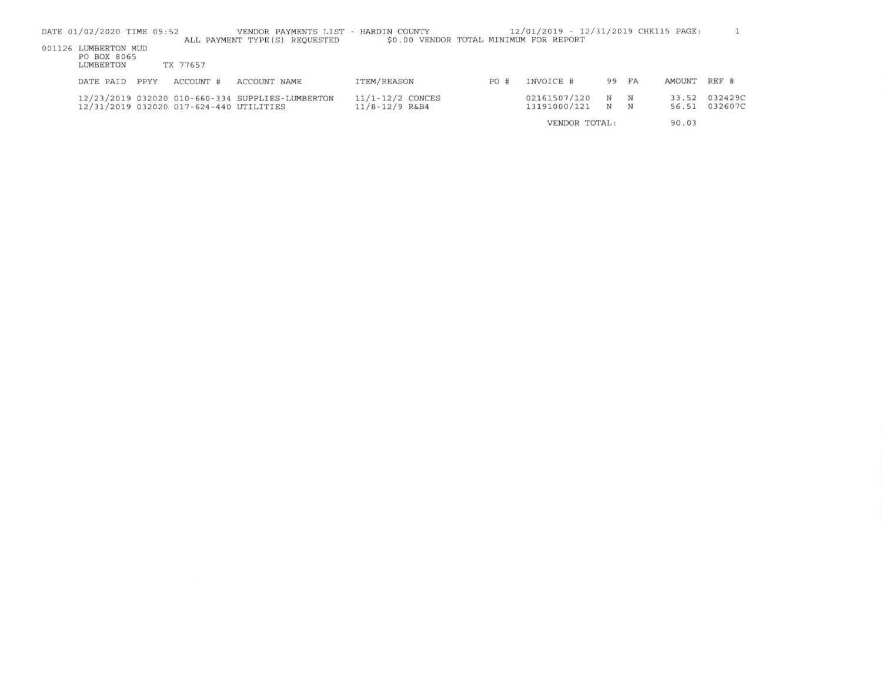| DATE 01/02/2020 TIME 09:52          |      |                                         | VENDOR PAYMENTS LIST - HARDIN COUNTY<br>ALL PAYMENT TYPE (S) REOUESTED | \$0.00 VENDOR TOTAL MINIMUM FOR REPORT |     | 12/01/2019 - 12/31/2019 CHK115 PAGE: |            |       |        |         |
|-------------------------------------|------|-----------------------------------------|------------------------------------------------------------------------|----------------------------------------|-----|--------------------------------------|------------|-------|--------|---------|
| 001126 LUMBERTON MUD<br>PO BOX 8065 |      |                                         |                                                                        |                                        |     |                                      |            |       |        |         |
| LUMBERTON                           |      | TX 77657                                |                                                                        |                                        |     |                                      |            |       |        |         |
| DATE PAID                           | PPYY | ACCOUNT #                               | ACCOUNT NAME                                                           | ITEM/REASON                            | PO# | INVOICE #                            |            | 99 FA | AMOUNT | REF #   |
|                                     |      |                                         | 12/23/2019 032020 010-660-334 SUPPLIES-LUMBERTON                       | $11/1 - 12/2$ CONCES                   |     | 02161507/120                         | $_{\rm N}$ | N     | 33.52  | 032429C |
|                                     |      | 12/31/2019 032020 017-624-440 UTILITIES |                                                                        | $11/8 - 12/9$ R&B4                     |     | 13191000/121                         | N N        |       | 56.51  | 032607C |
|                                     |      |                                         |                                                                        |                                        |     | VENDOR TOTAL:                        |            |       | 90.03  |         |